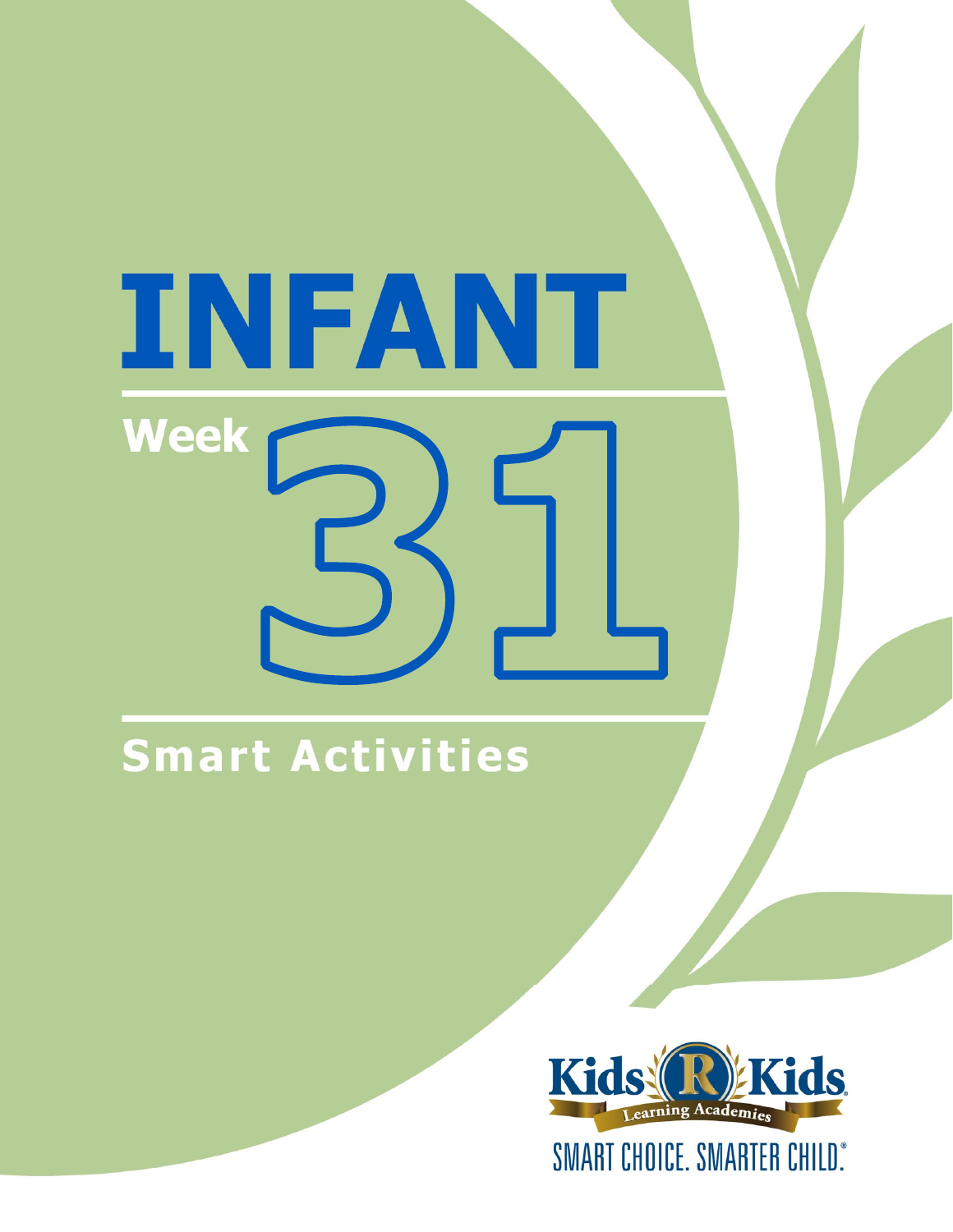# INFANT **Week**

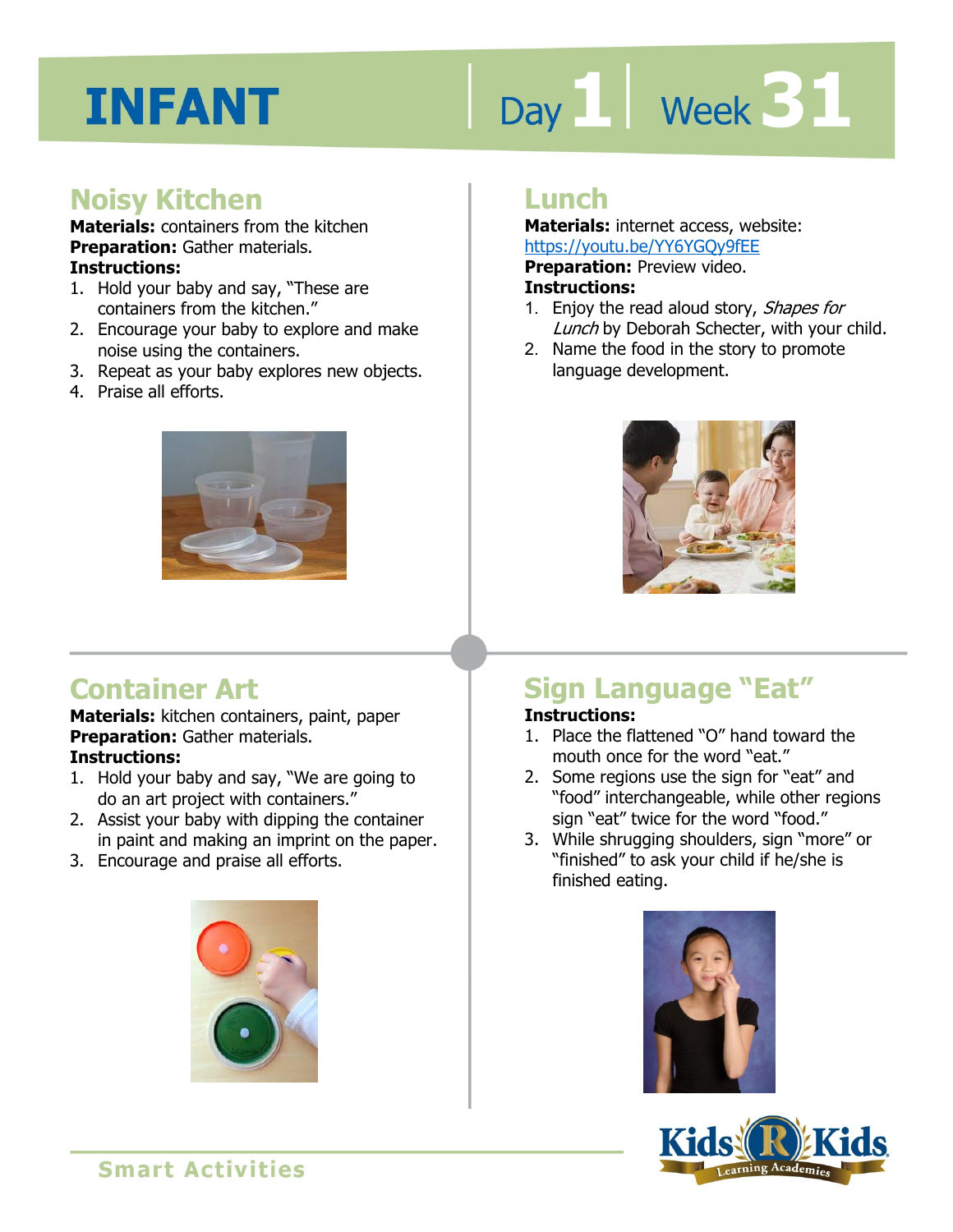# Day 1 **Week 31**

# **Noisy Kitchen**

**Materials:** containers from the kitchen **Preparation:** Gather materials. **Instructions:** 

- 1. Hold your baby and say, "These are containers from the kitchen."
- 2. Encourage your baby to explore and make noise using the containers.
- 3. Repeat as your baby explores new objects.
- 4. Praise all efforts.



# **Container Art**

**Materials:** kitchen containers, paint, paper **Preparation:** Gather materials. **Instructions:** 

- 1. Hold your baby and say, "We are going to do an art project with containers."
- 2. Assist your baby with dipping the container in paint and making an imprint on the paper.
- 3. Encourage and praise all efforts.



# **Lunch**

**Materials:** internet access, website: https://youtu.be/YY6YGQy9fEE

**Preparation:** Preview video.

#### **Instructions:**

- **1 4**  1. Enjoy the read aloud story, Shapes for Lunch by Deborah Schecter, with your child.
- 2. Name the food in the story to promote language development.



# **Sign Language "Eat"**

## **Instructions:**

- 1. Place the flattened "O" hand toward the mouth once for the word "eat."
- 2. Some regions use the sign for "eat" and "food" interchangeable, while other regions sign "eat" twice for the word "food."
- 3. While shrugging shoulders, sign "more" or "finished" to ask your child if he/she is finished eating.



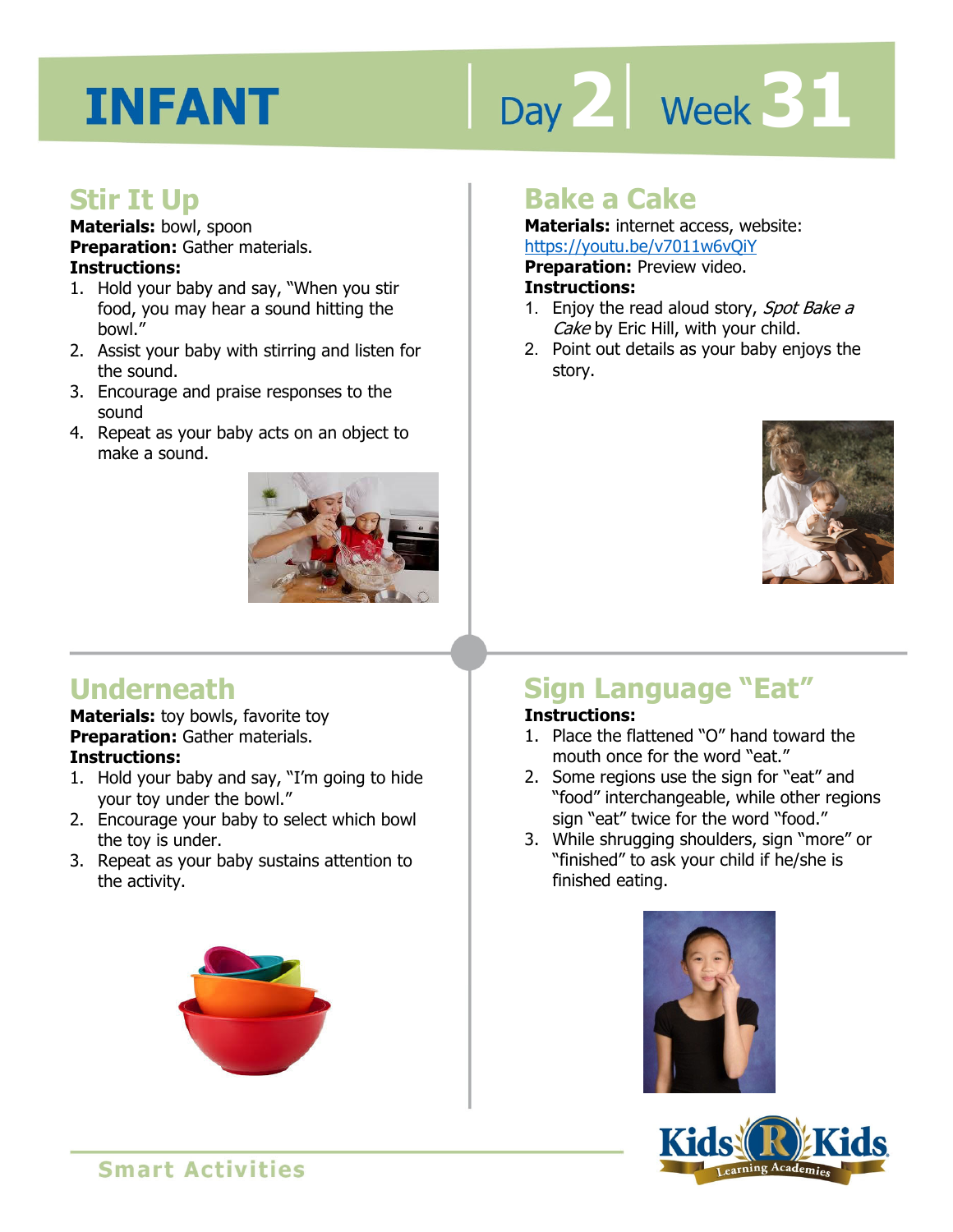# Day 2 **Week 31**

# **Stir It Up**

**Materials:** bowl, spoon **Preparation:** Gather materials. **Instructions:** 

- 1. Hold your baby and say, "When you stir food, you may hear a sound hitting the bowl."
- 2. Assist your baby with stirring and listen for the sound.
- 3. Encourage and praise responses to the sound
- 4. Repeat as your baby acts on an object to make a sound.



# **Bake a Cake**

**Materials:** internet access, website: https://youtu.be/v7011w6vQiY

**Preparation: Preview video.** 

#### **Instructions:**

- **IRCDS.//YOUGLI.DE/YVOITWOOTT<br><b>Preparation:** Preview video.<br>**Instructions:**<br>1. Enjoy the read aloud story, *Spot Bake a* Cake by Eric Hill, with your child.
- 2. Point out details as your baby enjoys the story.



# **Underneath**

**Materials:** toy bowls, favorite toy **Preparation:** Gather materials. **Instructions:** 

- 1. Hold your baby and say, "I'm going to hide your toy under the bowl."
- 2. Encourage your baby to select which bowl the toy is under.
- 3. Repeat as your baby sustains attention to the activity.



# **Sign Language "Eat"**

## **Instructions:**

- 1. Place the flattened "O" hand toward the mouth once for the word "eat."
- 2. Some regions use the sign for "eat" and "food" interchangeable, while other regions sign "eat" twice for the word "food."
- 3. While shrugging shoulders, sign "more" or "finished" to ask your child if he/she is finished eating.



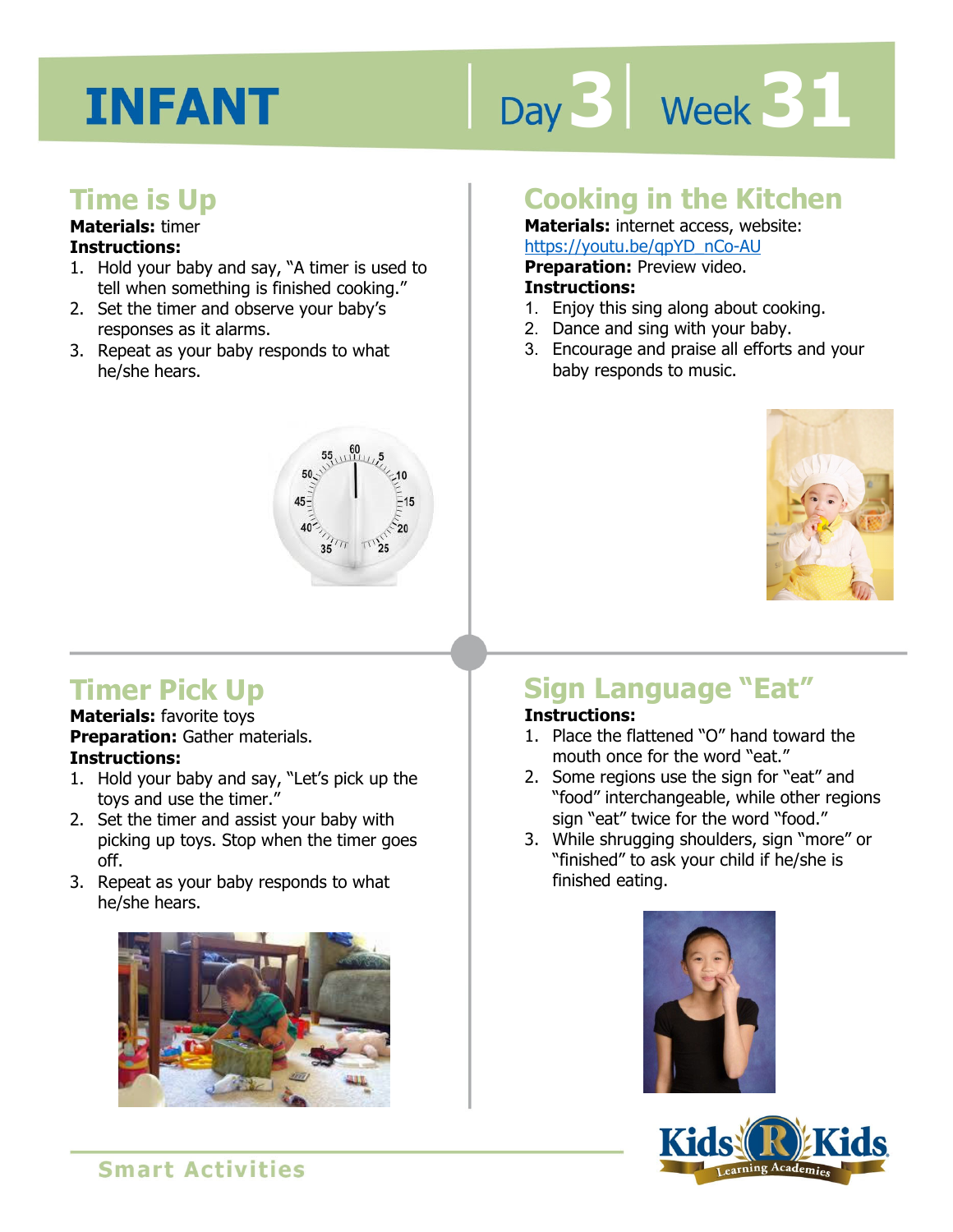# Day 3 | Week 31

# **Time is Up**

## **Materials:** timer

## **Instructions:**

- 1. Hold your baby and say, "A timer is used to tell when something is finished cooking."
- 2. Set the timer and observe your baby's responses as it alarms.
- 3. Repeat as your baby responds to what he/she hears.



# **Cooking in the Kitchen**

**Materials:** internet access, website: https://youtu.be/qpYD\_nCo-AU

**Preparation:** Preview video.

#### **Instructions:**

- **1 4**  1. Enjoy this sing along about cooking.
- 2. Dance and sing with your baby.
- 3. Encourage and praise all efforts and your baby responds to music.



# **Timer Pick Up**

**Materials:** favorite toys **Preparation:** Gather materials. **Instructions:** 

- 1. Hold your baby and say, "Let's pick up the toys and use the timer."
- 2. Set the timer and assist your baby with picking up toys. Stop when the timer goes off.
- 3. Repeat as your baby responds to what he/she hears.



# **Sign Language "Eat"**

## **Instructions:**

- 1. Place the flattened "O" hand toward the mouth once for the word "eat."
- 2. Some regions use the sign for "eat" and "food" interchangeable, while other regions sign "eat" twice for the word "food."
- 3. While shrugging shoulders, sign "more" or "finished" to ask your child if he/she is finished eating.



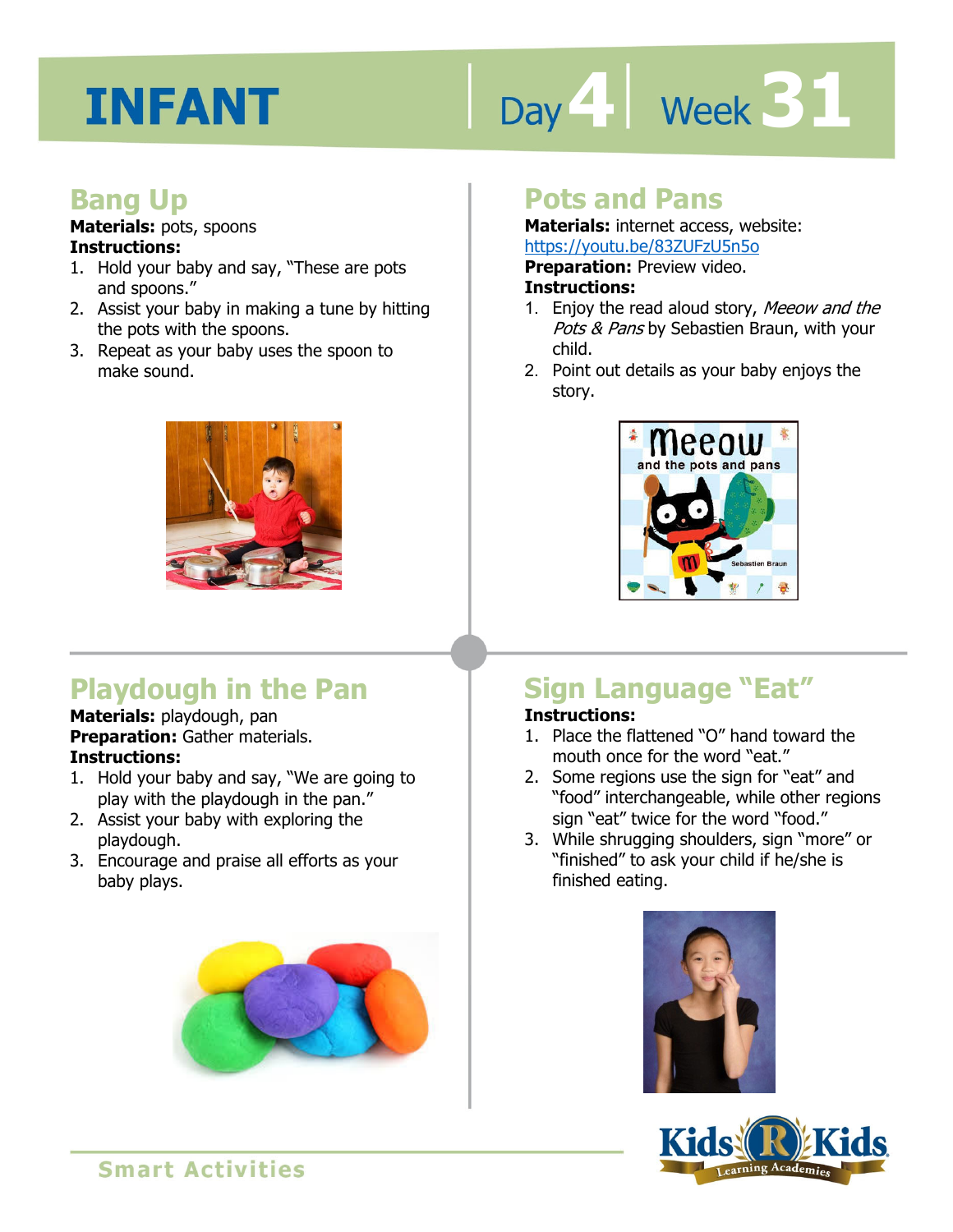# Day 4 Week 31

## **Bang Up**

**Materials:** pots, spoons **Instructions:** 

- 1. Hold your baby and say, "These are pots and spoons."
- 2. Assist your baby in making a tune by hitting the pots with the spoons.
- 3. Repeat as your baby uses the spoon to make sound.



# **Playdough in the Pan**

**Materials:** playdough, pan **Preparation:** Gather materials. **Instructions:** 

- 1. Hold your baby and say, "We are going to play with the playdough in the pan."
- 2. Assist your baby with exploring the playdough.
- 3. Encourage and praise all efforts as your baby plays.



# **Pots and Pans**

**Materials:** internet access, website: https://youtu.be/83ZUFzU5n5o

**Preparation:** Preview video.

#### **Instructions:**

- **Intps.//youtd.be/63201203130**<br>**Preparation:** Preview video.<br>**Instructions:**<br>1. Enjoy the read aloud story, *Meeow and the* Pots & Pans by Sebastien Braun, with your child.
- 2. Point out details as your baby enjoys the story.



# **Sign Language "Eat"**

## **Instructions:**

- 1. Place the flattened "O" hand toward the mouth once for the word "eat."
- 2. Some regions use the sign for "eat" and "food" interchangeable, while other regions sign "eat" twice for the word "food."
- 3. While shrugging shoulders, sign "more" or "finished" to ask your child if he/she is finished eating.